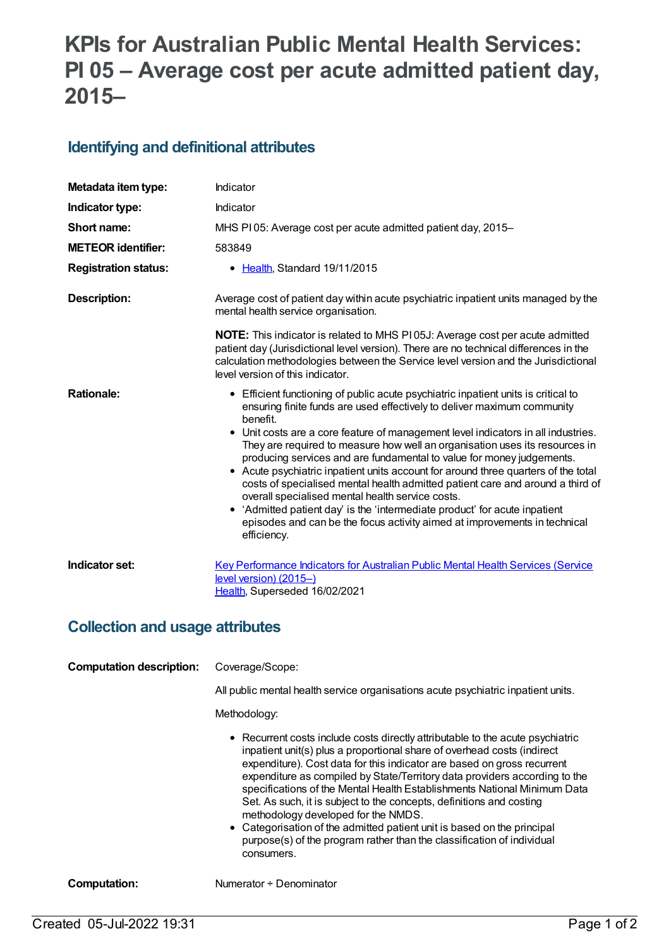# **KPIs for Australian Public Mental Health Services: PI 05 – Average cost per acute admitted patient day, 2015–**

#### **Identifying and definitional attributes**

| Metadata item type:                    | Indicator                                                                                                                                                                                                                                                                                                                                                                                                                                                                                                                                                                                                                                                                                                                                                                                                                    |
|----------------------------------------|------------------------------------------------------------------------------------------------------------------------------------------------------------------------------------------------------------------------------------------------------------------------------------------------------------------------------------------------------------------------------------------------------------------------------------------------------------------------------------------------------------------------------------------------------------------------------------------------------------------------------------------------------------------------------------------------------------------------------------------------------------------------------------------------------------------------------|
| Indicator type:                        | Indicator                                                                                                                                                                                                                                                                                                                                                                                                                                                                                                                                                                                                                                                                                                                                                                                                                    |
| Short name:                            | MHS PI05: Average cost per acute admitted patient day, 2015-                                                                                                                                                                                                                                                                                                                                                                                                                                                                                                                                                                                                                                                                                                                                                                 |
| <b>METEOR identifier:</b>              | 583849                                                                                                                                                                                                                                                                                                                                                                                                                                                                                                                                                                                                                                                                                                                                                                                                                       |
| <b>Registration status:</b>            | • Health, Standard 19/11/2015                                                                                                                                                                                                                                                                                                                                                                                                                                                                                                                                                                                                                                                                                                                                                                                                |
| <b>Description:</b>                    | Average cost of patient day within acute psychiatric inpatient units managed by the<br>mental health service organisation.                                                                                                                                                                                                                                                                                                                                                                                                                                                                                                                                                                                                                                                                                                   |
|                                        | <b>NOTE:</b> This indicator is related to MHS P105J: Average cost per acute admitted<br>patient day (Jurisdictional level version). There are no technical differences in the<br>calculation methodologies between the Service level version and the Jurisdictional<br>level version of this indicator.                                                                                                                                                                                                                                                                                                                                                                                                                                                                                                                      |
| <b>Rationale:</b>                      | • Efficient functioning of public acute psychiatric inpatient units is critical to<br>ensuring finite funds are used effectively to deliver maximum community<br>benefit.<br>• Unit costs are a core feature of management level indicators in all industries.<br>They are required to measure how well an organisation uses its resources in<br>producing services and are fundamental to value for money judgements.<br>• Acute psychiatric inpatient units account for around three quarters of the total<br>costs of specialised mental health admitted patient care and around a third of<br>overall specialised mental health service costs.<br>• 'Admitted patient day' is the 'intermediate product' for acute inpatient<br>episodes and can be the focus activity aimed at improvements in technical<br>efficiency. |
| Indicator set:                         | Key Performance Indicators for Australian Public Mental Health Services (Service<br>$level version) (2015-)$<br>Health, Superseded 16/02/2021                                                                                                                                                                                                                                                                                                                                                                                                                                                                                                                                                                                                                                                                                |
| <b>Collection and usage attributes</b> |                                                                                                                                                                                                                                                                                                                                                                                                                                                                                                                                                                                                                                                                                                                                                                                                                              |
| <b>Computation description:</b>        | Coverage/Scope:                                                                                                                                                                                                                                                                                                                                                                                                                                                                                                                                                                                                                                                                                                                                                                                                              |
|                                        | All public mental health service organisations acute psychiatric inpatient units.                                                                                                                                                                                                                                                                                                                                                                                                                                                                                                                                                                                                                                                                                                                                            |
|                                        | Methodology:                                                                                                                                                                                                                                                                                                                                                                                                                                                                                                                                                                                                                                                                                                                                                                                                                 |

- Recurrent costs include costs directly attributable to the acute psychiatric inpatient unit(s) plus a proportional share of overhead costs (indirect expenditure). Cost data for this indicator are based on gross recurrent expenditure as compiled by State/Territory data providers according to the specifications of the Mental Health Establishments National Minimum Data Set. As such, it is subject to the concepts, definitions and costing methodology developed for the NMDS.
- Categorisation of the admitted patient unit is based on the principal purpose(s) of the program rather than the classification of individual consumers.

**Computation:** Numerator ÷ Denominator